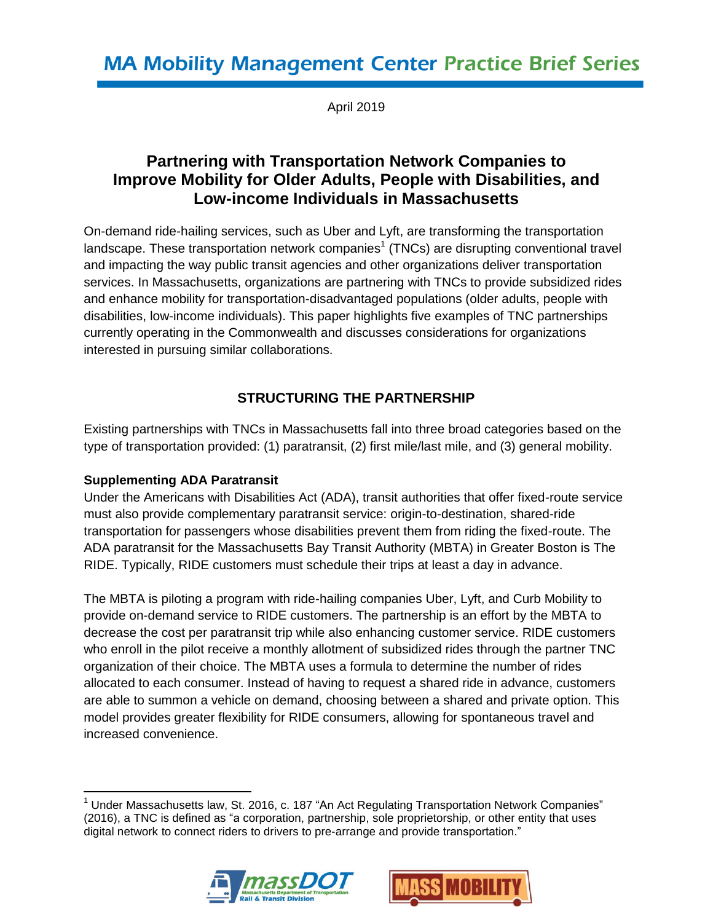April 2019

# **Partnering with Transportation Network Companies to Improve Mobility for Older Adults, People with Disabilities, and Low-income Individuals in Massachusetts**

On-demand ride-hailing services, such as Uber and Lyft, are transforming the transportation landscape. These transportation network companies<sup>1</sup> (TNCs) are disrupting conventional travel and impacting the way public transit agencies and other organizations deliver transportation services. In Massachusetts, organizations are partnering with TNCs to provide subsidized rides and enhance mobility for transportation-disadvantaged populations (older adults, people with disabilities, low-income individuals). This paper highlights five examples of TNC partnerships currently operating in the Commonwealth and discusses considerations for organizations interested in pursuing similar collaborations.

# **STRUCTURING THE PARTNERSHIP**

Existing partnerships with TNCs in Massachusetts fall into three broad categories based on the type of transportation provided: (1) paratransit, (2) first mile/last mile, and (3) general mobility.

#### **Supplementing ADA Paratransit**

Under the Americans with Disabilities Act (ADA), transit authorities that offer fixed-route service must also provide complementary paratransit service: origin-to-destination, shared-ride transportation for passengers whose disabilities prevent them from riding the fixed-route. The ADA paratransit for the Massachusetts Bay Transit Authority (MBTA) in Greater Boston is The RIDE. Typically, RIDE customers must schedule their trips at least a day in advance.

The MBTA is piloting a program with ride-hailing companies Uber, Lyft, and Curb Mobility to provide on-demand service to RIDE customers. The partnership is an effort by the MBTA to decrease the cost per paratransit trip while also enhancing customer service. RIDE customers who enroll in the pilot receive a monthly allotment of subsidized rides through the partner TNC organization of their choice. The MBTA uses a formula to determine the number of rides allocated to each consumer. Instead of having to request a shared ride in advance, customers are able to summon a vehicle on demand, choosing between a shared and private option. This model provides greater flexibility for RIDE consumers, allowing for spontaneous travel and increased convenience.

 $\overline{\phantom{a}}$  $<sup>1</sup>$  Under Massachusetts law, St. 2016, c. 187 "An Act Regulating Transportation Network Companies"</sup> (2016), a TNC is defined as "a corporation, partnership, sole proprietorship, or other entity that uses digital network to connect riders to drivers to pre-arrange and provide transportation."



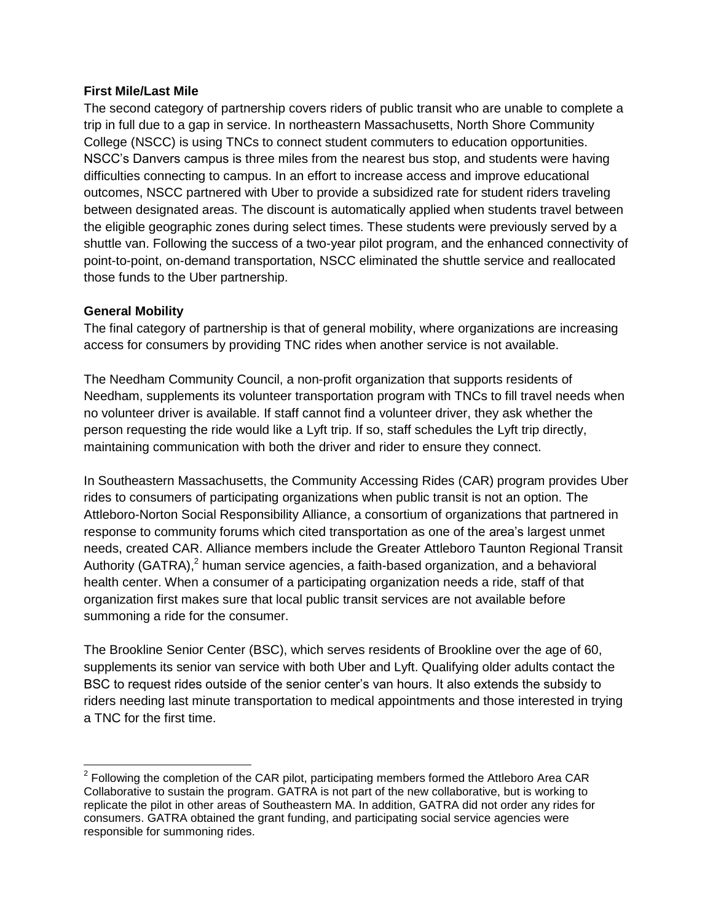#### **First Mile/Last Mile**

The second category of partnership covers riders of public transit who are unable to complete a trip in full due to a gap in service. In northeastern Massachusetts, North Shore Community College (NSCC) is using TNCs to connect student commuters to education opportunities. NSCC's Danvers campus is three miles from the nearest bus stop, and students were having difficulties connecting to campus. In an effort to increase access and improve educational outcomes, NSCC partnered with Uber to provide a subsidized rate for student riders traveling between designated areas. The discount is automatically applied when students travel between the eligible geographic zones during select times. These students were previously served by a shuttle van. Following the success of a two-year pilot program, and the enhanced connectivity of point-to-point, on-demand transportation, NSCC eliminated the shuttle service and reallocated those funds to the Uber partnership.

#### **General Mobility**

The final category of partnership is that of general mobility, where organizations are increasing access for consumers by providing TNC rides when another service is not available.

The Needham Community Council, a non-profit organization that supports residents of Needham, supplements its volunteer transportation program with TNCs to fill travel needs when no volunteer driver is available. If staff cannot find a volunteer driver, they ask whether the person requesting the ride would like a Lyft trip. If so, staff schedules the Lyft trip directly, maintaining communication with both the driver and rider to ensure they connect.

In Southeastern Massachusetts, the Community Accessing Rides (CAR) program provides Uber rides to consumers of participating organizations when public transit is not an option. The Attleboro-Norton Social Responsibility Alliance, a consortium of organizations that partnered in response to community forums which cited transportation as one of the area's largest unmet needs, created CAR. Alliance members include the Greater Attleboro Taunton Regional Transit Authority (GATRA),<sup>2</sup> human service agencies, a faith-based organization, and a behavioral health center. When a consumer of a participating organization needs a ride, staff of that organization first makes sure that local public transit services are not available before summoning a ride for the consumer.

The Brookline Senior Center (BSC), which serves residents of Brookline over the age of 60, supplements its senior van service with both Uber and Lyft. Qualifying older adults contact the BSC to request rides outside of the senior center's van hours. It also extends the subsidy to riders needing last minute transportation to medical appointments and those interested in trying a TNC for the first time.

 $\overline{a}$  $2$  Following the completion of the CAR pilot, participating members formed the Attleboro Area CAR Collaborative to sustain the program. GATRA is not part of the new collaborative, but is working to replicate the pilot in other areas of Southeastern MA. In addition, GATRA did not order any rides for consumers. GATRA obtained the grant funding, and participating social service agencies were responsible for summoning rides.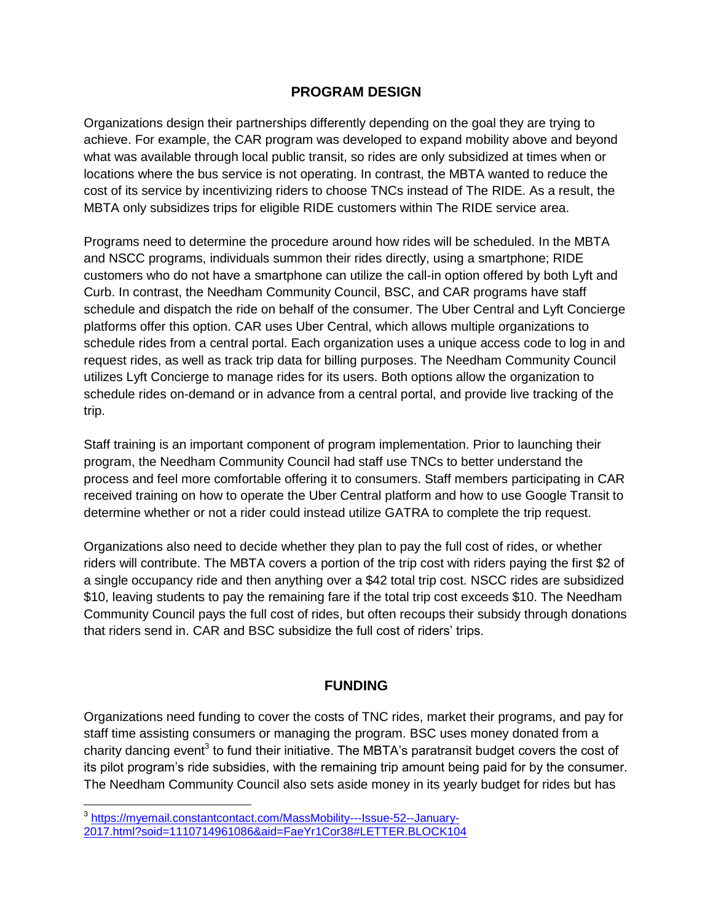### **PROGRAM DESIGN**

Organizations design their partnerships differently depending on the goal they are trying to achieve. For example, the CAR program was developed to expand mobility above and beyond what was available through local public transit, so rides are only subsidized at times when or locations where the bus service is not operating. In contrast, the MBTA wanted to reduce the cost of its service by incentivizing riders to choose TNCs instead of The RIDE. As a result, the MBTA only subsidizes trips for eligible RIDE customers within The RIDE service area.

Programs need to determine the procedure around how rides will be scheduled. In the MBTA and NSCC programs, individuals summon their rides directly, using a smartphone; RIDE customers who do not have a smartphone can utilize the call-in option offered by both Lyft and Curb. In contrast, the Needham Community Council, BSC, and CAR programs have staff schedule and dispatch the ride on behalf of the consumer. The Uber Central and Lyft Concierge platforms offer this option. CAR uses Uber Central, which allows multiple organizations to schedule rides from a central portal. Each organization uses a unique access code to log in and request rides, as well as track trip data for billing purposes. The Needham Community Council utilizes Lyft Concierge to manage rides for its users. Both options allow the organization to schedule rides on-demand or in advance from a central portal, and provide live tracking of the trip.

Staff training is an important component of program implementation. Prior to launching their program, the Needham Community Council had staff use TNCs to better understand the process and feel more comfortable offering it to consumers. Staff members participating in CAR received training on how to operate the Uber Central platform and how to use Google Transit to determine whether or not a rider could instead utilize GATRA to complete the trip request.

Organizations also need to decide whether they plan to pay the full cost of rides, or whether riders will contribute. The MBTA covers a portion of the trip cost with riders paying the first \$2 of a single occupancy ride and then anything over a \$42 total trip cost. NSCC rides are subsidized \$10, leaving students to pay the remaining fare if the total trip cost exceeds \$10. The Needham Community Council pays the full cost of rides, but often recoups their subsidy through donations that riders send in. CAR and BSC subsidize the full cost of riders' trips.

#### **FUNDING**

Organizations need funding to cover the costs of TNC rides, market their programs, and pay for staff time assisting consumers or managing the program. BSC uses money donated from a charity dancing event<sup>3</sup> to fund their initiative. The MBTA's paratransit budget covers the cost of its pilot program's ride subsidies, with the remaining trip amount being paid for by the consumer. The Needham Community Council also sets aside money in its yearly budget for rides but has

 $\overline{\phantom{a}}$ 

<sup>&</sup>lt;sup>3</sup> [https://myemail.constantcontact.com/MassMobility---Issue-52--January-](https://myemail.constantcontact.com/MassMobility---Issue-52--January-2017.html?soid=1110714961086&aid=FaeYr1Cor38#LETTER.BLOCK104)[2017.html?soid=1110714961086&aid=FaeYr1Cor38#LETTER.BLOCK104](https://myemail.constantcontact.com/MassMobility---Issue-52--January-2017.html?soid=1110714961086&aid=FaeYr1Cor38#LETTER.BLOCK104)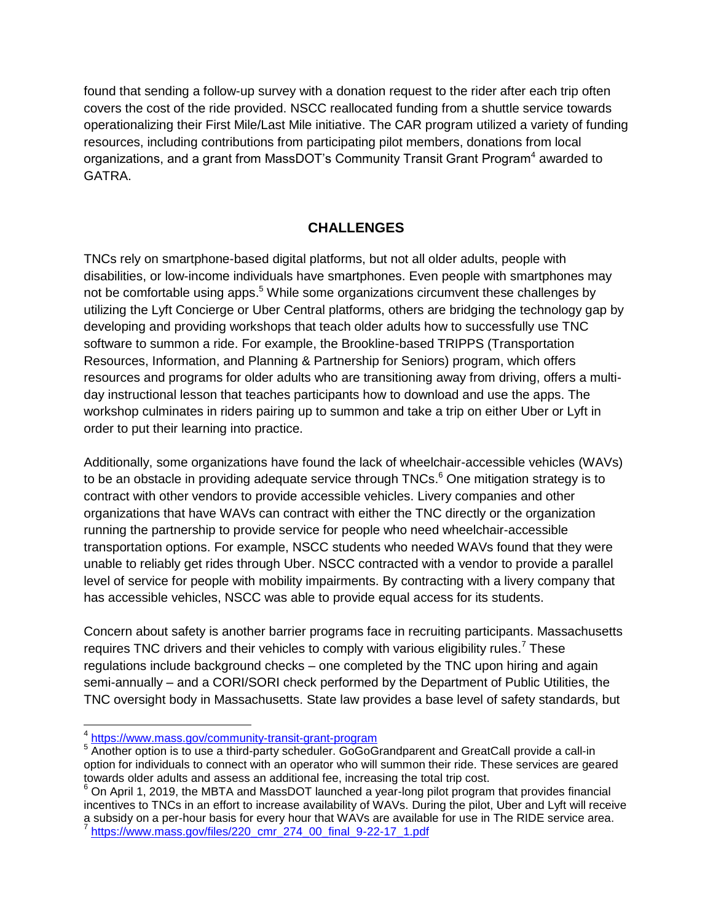found that sending a follow-up survey with a donation request to the rider after each trip often covers the cost of the ride provided. NSCC reallocated funding from a shuttle service towards operationalizing their First Mile/Last Mile initiative. The CAR program utilized a variety of funding resources, including contributions from participating pilot members, donations from local organizations, and a grant from MassDOT's Community Transit Grant Program<sup>4</sup> awarded to GATRA.

## **CHALLENGES**

TNCs rely on smartphone-based digital platforms, but not all older adults, people with disabilities, or low-income individuals have smartphones. Even people with smartphones may not be comfortable using apps.<sup>5</sup> While some organizations circumvent these challenges by utilizing the Lyft Concierge or Uber Central platforms, others are bridging the technology gap by developing and providing workshops that teach older adults how to successfully use TNC software to summon a ride. For example, the Brookline-based TRIPPS (Transportation Resources, Information, and Planning & Partnership for Seniors) program, which offers resources and programs for older adults who are transitioning away from driving, offers a multiday instructional lesson that teaches participants how to download and use the apps. The workshop culminates in riders pairing up to summon and take a trip on either Uber or Lyft in order to put their learning into practice.

Additionally, some organizations have found the lack of wheelchair-accessible vehicles (WAVs) to be an obstacle in providing adequate service through TNCs.<sup>6</sup> One mitigation strategy is to contract with other vendors to provide accessible vehicles. Livery companies and other organizations that have WAVs can contract with either the TNC directly or the organization running the partnership to provide service for people who need wheelchair-accessible transportation options. For example, NSCC students who needed WAVs found that they were unable to reliably get rides through Uber. NSCC contracted with a vendor to provide a parallel level of service for people with mobility impairments. By contracting with a livery company that has accessible vehicles, NSCC was able to provide equal access for its students.

Concern about safety is another barrier programs face in recruiting participants. Massachusetts requires TNC drivers and their vehicles to comply with various eligibility rules.<sup>7</sup> These regulations include background checks – one completed by the TNC upon hiring and again semi-annually – and a CORI/SORI check performed by the Department of Public Utilities, the TNC oversight body in Massachusetts. State law provides a base level of safety standards, but

 4 <https://www.mass.gov/community-transit-grant-program>

<sup>&</sup>lt;sup>5</sup> Another option is to use a third-party scheduler. GoGoGrandparent and GreatCall provide a call-in option for individuals to connect with an operator who will summon their ride. These services are geared towards older adults and assess an additional fee, increasing the total trip cost.

 $6$  On April 1, 2019, the MBTA and MassDOT launched a year-long pilot program that provides financial incentives to TNCs in an effort to increase availability of WAVs. During the pilot, Uber and Lyft will receive a subsidy on a per-hour basis for every hour that WAVs are available for use in The RIDE service area.<br>I https://www.mose.gov/files/220.emr.274.00.final.0.22.17.1.pdf [https://www.mass.gov/files/220\\_cmr\\_274\\_00\\_final\\_9-22-17\\_1.pdf](https://www.mass.gov/files/220_cmr_274_00_final_9-22-17_1.pdf)